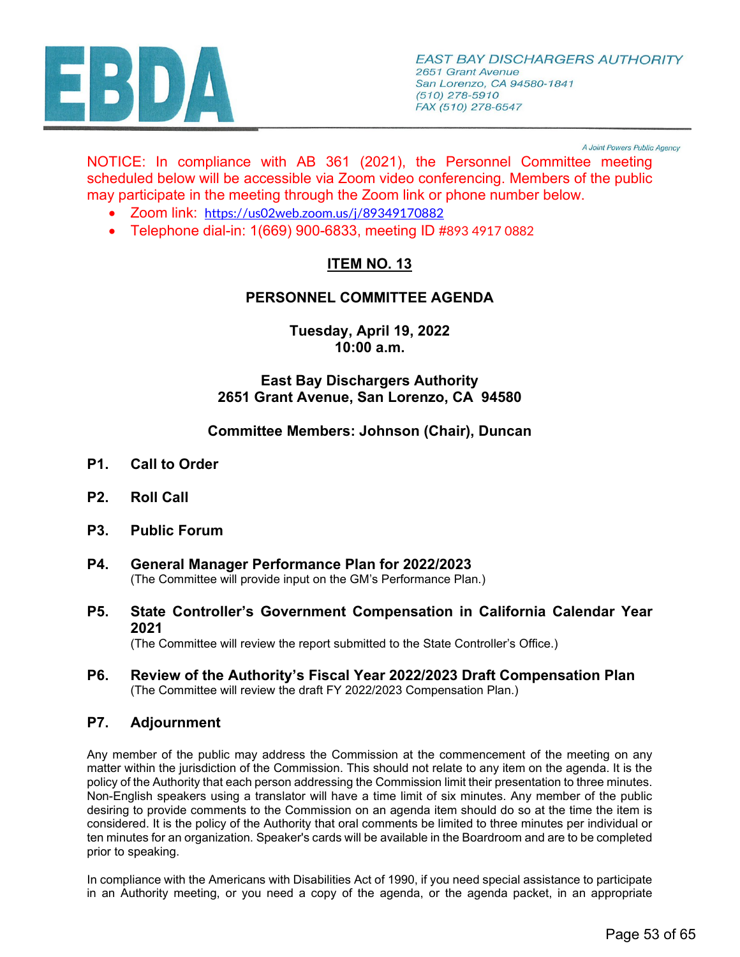

A Joint Powers Public Agency

NOTICE: In compliance with AB 361 (2021), the Personnel Committee meeting scheduled below will be accessible via Zoom video conferencing. Members of the public may participate in the meeting through the Zoom link or phone number below.

- Zoom link: <https://us02web.zoom.us/j/89349170882>
- Telephone dial-in: 1(669) 900-6833, meeting ID #893 4917 0882

# **ITEM NO. 13**

# **PERSONNEL COMMITTEE AGENDA**

**Tuesday, April 19, 2022 10:00 a.m.**

# **East Bay Dischargers Authority 2651 Grant Avenue, San Lorenzo, CA 94580**

## **Committee Members: Johnson (Chair), Duncan**

- **P1. Call to Order**
- **P2. Roll Call**
- **P3. Public Forum**
- **P4. [General Manager Performance Plan for 2022/2023](#page-2-0)** (The Committee will provide input on the GM's Performance Plan.)
- **P5. [State Controller's Government Compensation in California Calendar Year](#page-7-0) 2021**

(The Committee will review the report submitted to the State Controller's Office.)

**P6. [Review of the Authority's Fiscal Year 2022/2023 Draft Compensation Plan](#page-8-0)** (The Committee will review the draft FY 2022/2023 Compensation Plan.)

## **P7. Adjournment**

Any member of the public may address the Commission at the commencement of the meeting on any matter within the jurisdiction of the Commission. This should not relate to any item on the agenda. It is the policy of the Authority that each person addressing the Commission limit their presentation to three minutes. Non-English speakers using a translator will have a time limit of six minutes. Any member of the public desiring to provide comments to the Commission on an agenda item should do so at the time the item is considered. It is the policy of the Authority that oral comments be limited to three minutes per individual or ten minutes for an organization. Speaker's cards will be available in the Boardroom and are to be completed prior to speaking.

In compliance with the Americans with Disabilities Act of 1990, if you need special assistance to participate in an Authority meeting, or you need a copy of the agenda, or the agenda packet, in an appropriate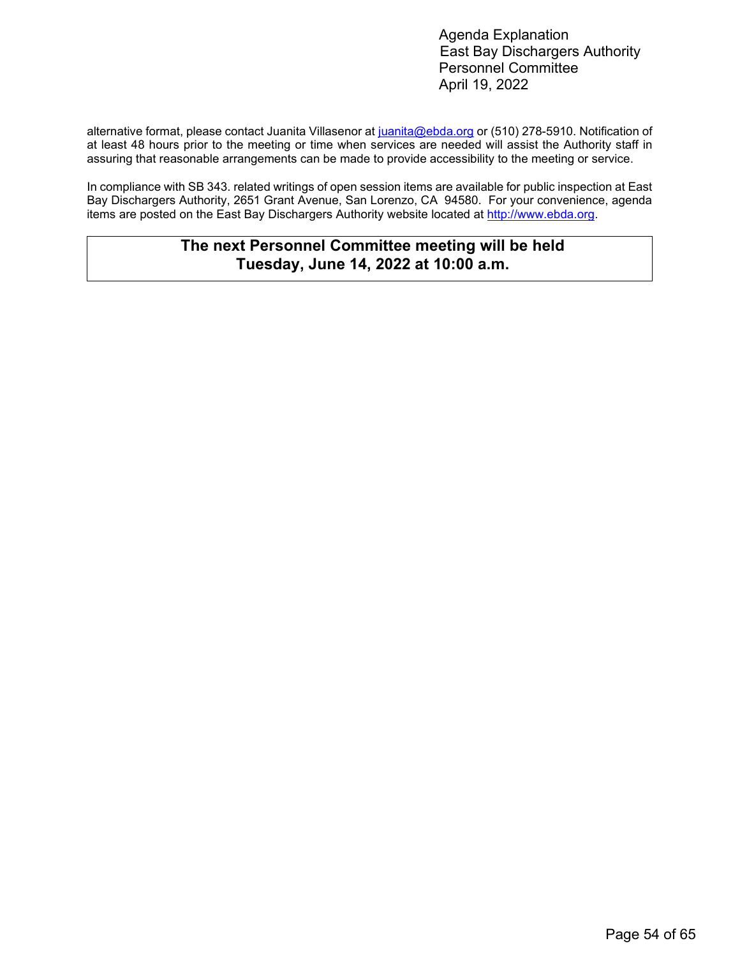alternative format, please contact Juanita Villasenor at [juanita@ebda.org](mailto:juanita@ebda.org) or (510) 278-5910. Notification of at least 48 hours prior to the meeting or time when services are needed will assist the Authority staff in assuring that reasonable arrangements can be made to provide accessibility to the meeting or service.

In compliance with SB 343. related writings of open session items are available for public inspection at East Bay Dischargers Authority, 2651 Grant Avenue, San Lorenzo, CA 94580. For your convenience, agenda items are posted on the East Bay Dischargers Authority website located at [http://www.ebda.org.](http://www.ebda.org/)

# **The next Personnel Committee meeting will be held Tuesday, June 14, 2022 at 10:00 a.m.**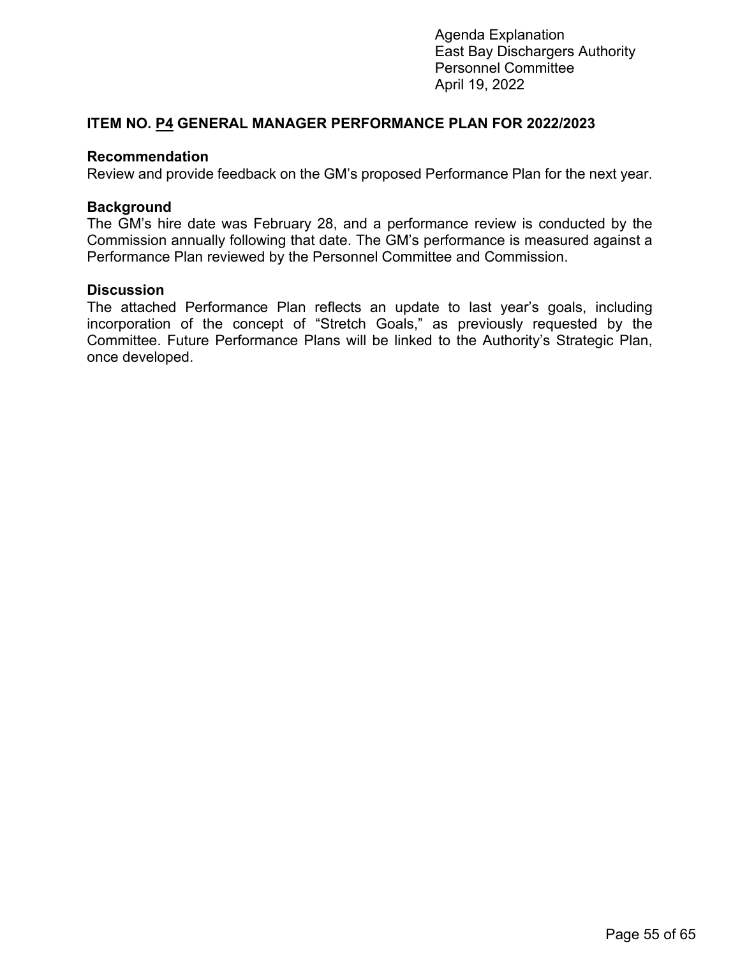### <span id="page-2-0"></span>**ITEM NO. P4 GENERAL MANAGER PERFORMANCE PLAN FOR 2022/2023**

#### **Recommendation**

Review and provide feedback on the GM's proposed Performance Plan for the next year.

### **Background**

The GM's hire date was February 28, and a performance review is conducted by the Commission annually following that date. The GM's performance is measured against a Performance Plan reviewed by the Personnel Committee and Commission.

### **Discussion**

The attached Performance Plan reflects an update to last year's goals, including incorporation of the concept of "Stretch Goals," as previously requested by the Committee. Future Performance Plans will be linked to the Authority's Strategic Plan, once developed.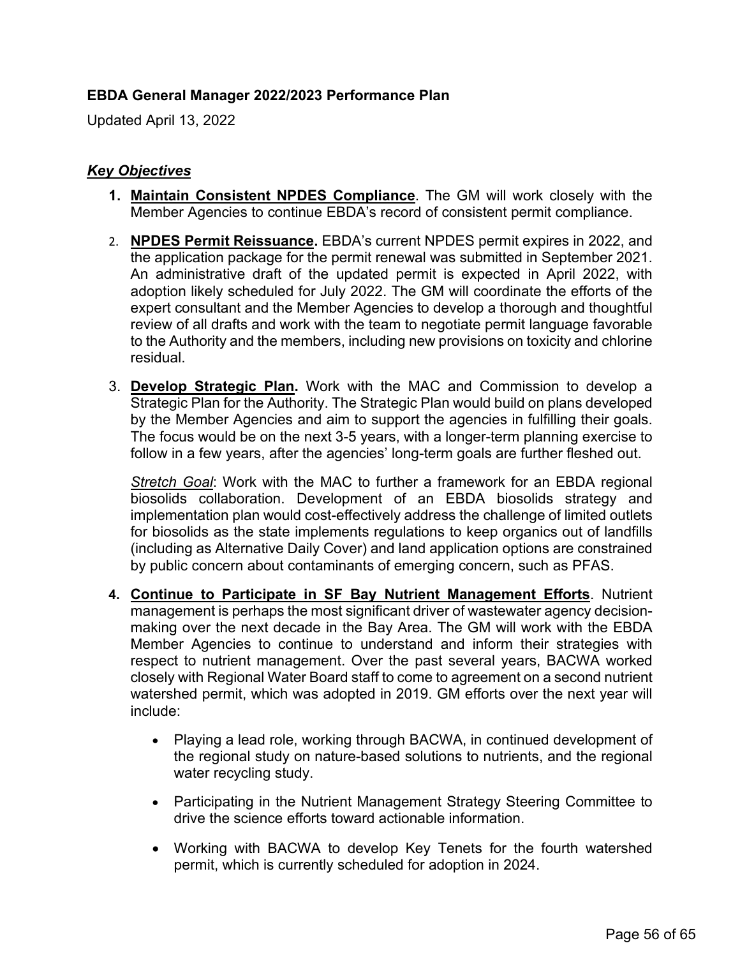# **EBDA General Manager 2022/2023 Performance Plan**

Updated April 13, 2022

# *Key Objectives*

- **1. Maintain Consistent NPDES Compliance**. The GM will work closely with the Member Agencies to continue EBDA's record of consistent permit compliance.
- 2. **NPDES Permit Reissuance.** EBDA's current NPDES permit expires in 2022, and the application package for the permit renewal was submitted in September 2021. An administrative draft of the updated permit is expected in April 2022, with adoption likely scheduled for July 2022. The GM will coordinate the efforts of the expert consultant and the Member Agencies to develop a thorough and thoughtful review of all drafts and work with the team to negotiate permit language favorable to the Authority and the members, including new provisions on toxicity and chlorine residual.
- 3. **Develop Strategic Plan.** Work with the MAC and Commission to develop a Strategic Plan for the Authority. The Strategic Plan would build on plans developed by the Member Agencies and aim to support the agencies in fulfilling their goals. The focus would be on the next 3-5 years, with a longer-term planning exercise to follow in a few years, after the agencies' long-term goals are further fleshed out.

*Stretch Goal*: Work with the MAC to further a framework for an EBDA regional biosolids collaboration. Development of an EBDA biosolids strategy and implementation plan would cost-effectively address the challenge of limited outlets for biosolids as the state implements regulations to keep organics out of landfills (including as Alternative Daily Cover) and land application options are constrained by public concern about contaminants of emerging concern, such as PFAS.

- **4. Continue to Participate in SF Bay Nutrient Management Efforts**. Nutrient management is perhaps the most significant driver of wastewater agency decisionmaking over the next decade in the Bay Area. The GM will work with the EBDA Member Agencies to continue to understand and inform their strategies with respect to nutrient management. Over the past several years, BACWA worked closely with Regional Water Board staff to come to agreement on a second nutrient watershed permit, which was adopted in 2019. GM efforts over the next year will include:
	- Playing a lead role, working through BACWA, in continued development of the regional study on nature-based solutions to nutrients, and the regional water recycling study.
	- Participating in the Nutrient Management Strategy Steering Committee to drive the science efforts toward actionable information.
	- Working with BACWA to develop Key Tenets for the fourth watershed permit, which is currently scheduled for adoption in 2024.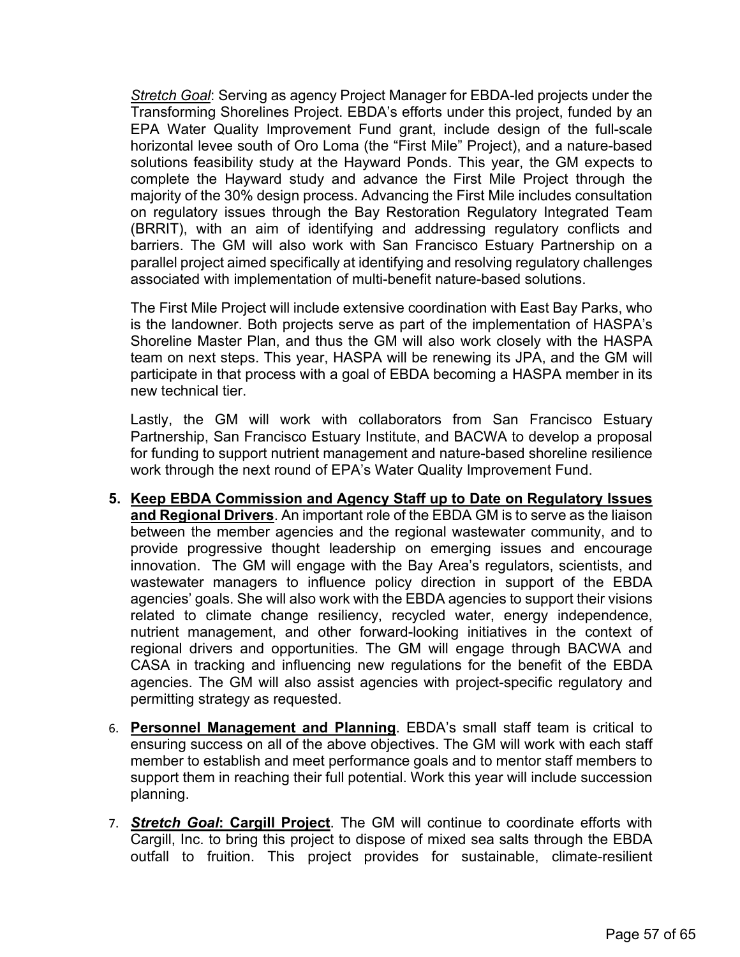*Stretch Goal*: Serving as agency Project Manager for EBDA-led projects under the Transforming Shorelines Project. EBDA's efforts under this project, funded by an EPA Water Quality Improvement Fund grant, include design of the full-scale horizontal levee south of Oro Loma (the "First Mile" Project), and a nature-based solutions feasibility study at the Hayward Ponds. This year, the GM expects to complete the Hayward study and advance the First Mile Project through the majority of the 30% design process. Advancing the First Mile includes consultation on regulatory issues through the Bay Restoration Regulatory Integrated Team (BRRIT), with an aim of identifying and addressing regulatory conflicts and barriers. The GM will also work with San Francisco Estuary Partnership on a parallel project aimed specifically at identifying and resolving regulatory challenges associated with implementation of multi-benefit nature-based solutions.

The First Mile Project will include extensive coordination with East Bay Parks, who is the landowner. Both projects serve as part of the implementation of HASPA's Shoreline Master Plan, and thus the GM will also work closely with the HASPA team on next steps. This year, HASPA will be renewing its JPA, and the GM will participate in that process with a goal of EBDA becoming a HASPA member in its new technical tier.

Lastly, the GM will work with collaborators from San Francisco Estuary Partnership, San Francisco Estuary Institute, and BACWA to develop a proposal for funding to support nutrient management and nature-based shoreline resilience work through the next round of EPA's Water Quality Improvement Fund.

- **5. Keep EBDA Commission and Agency Staff up to Date on Regulatory Issues and Regional Drivers**. An important role of the EBDA GM is to serve as the liaison between the member agencies and the regional wastewater community, and to provide progressive thought leadership on emerging issues and encourage innovation. The GM will engage with the Bay Area's regulators, scientists, and wastewater managers to influence policy direction in support of the EBDA agencies' goals. She will also work with the EBDA agencies to support their visions related to climate change resiliency, recycled water, energy independence, nutrient management, and other forward-looking initiatives in the context of regional drivers and opportunities. The GM will engage through BACWA and CASA in tracking and influencing new regulations for the benefit of the EBDA agencies. The GM will also assist agencies with project-specific regulatory and permitting strategy as requested.
- 6. **Personnel Management and Planning**. EBDA's small staff team is critical to ensuring success on all of the above objectives. The GM will work with each staff member to establish and meet performance goals and to mentor staff members to support them in reaching their full potential. Work this year will include succession planning.
- 7. *Stretch Goal***: Cargill Project**. The GM will continue to coordinate efforts with Cargill, Inc. to bring this project to dispose of mixed sea salts through the EBDA outfall to fruition. This project provides for sustainable, climate-resilient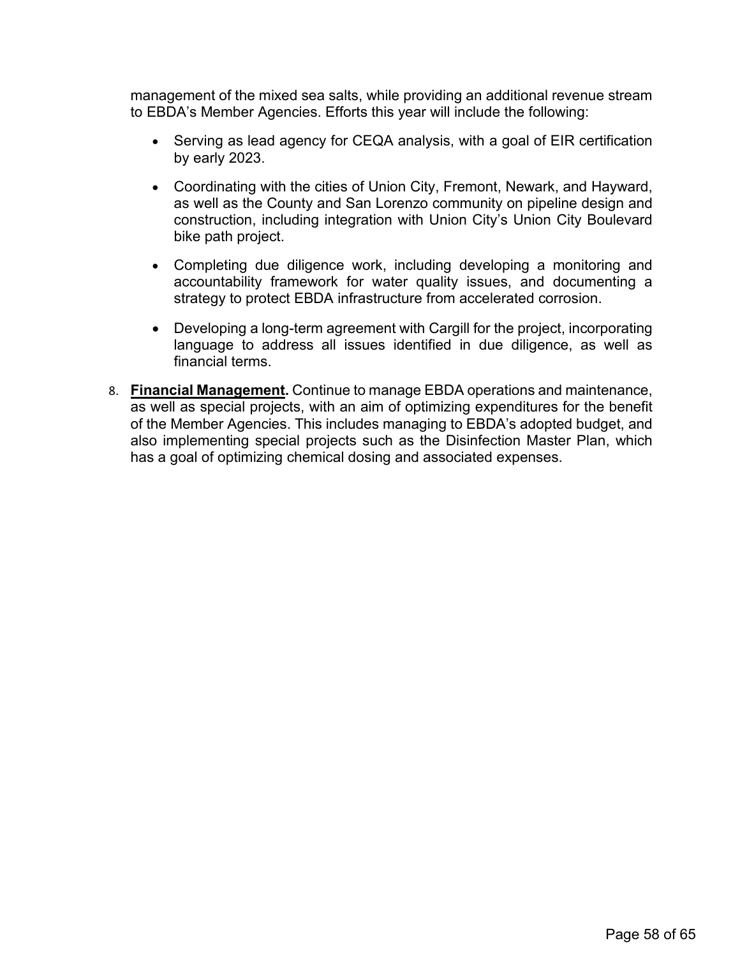management of the mixed sea salts, while providing an additional revenue stream to EBDA's Member Agencies. Efforts this year will include the following:

- Serving as lead agency for CEQA analysis, with a goal of EIR certification by early 2023.
- Coordinating with the cities of Union City, Fremont, Newark, and Hayward, as well as the County and San Lorenzo community on pipeline design and construction, including integration with Union City's Union City Boulevard bike path project.
- Completing due diligence work, including developing a monitoring and accountability framework for water quality issues, and documenting a strategy to protect EBDA infrastructure from accelerated corrosion.
- Developing a long-term agreement with Cargill for the project, incorporating language to address all issues identified in due diligence, as well as financial terms.
- 8. **Financial Management.** Continue to manage EBDA operations and maintenance, as well as special projects, with an aim of optimizing expenditures for the benefit of the Member Agencies. This includes managing to EBDA's adopted budget, and also implementing special projects such as the Disinfection Master Plan, which has a goal of optimizing chemical dosing and associated expenses.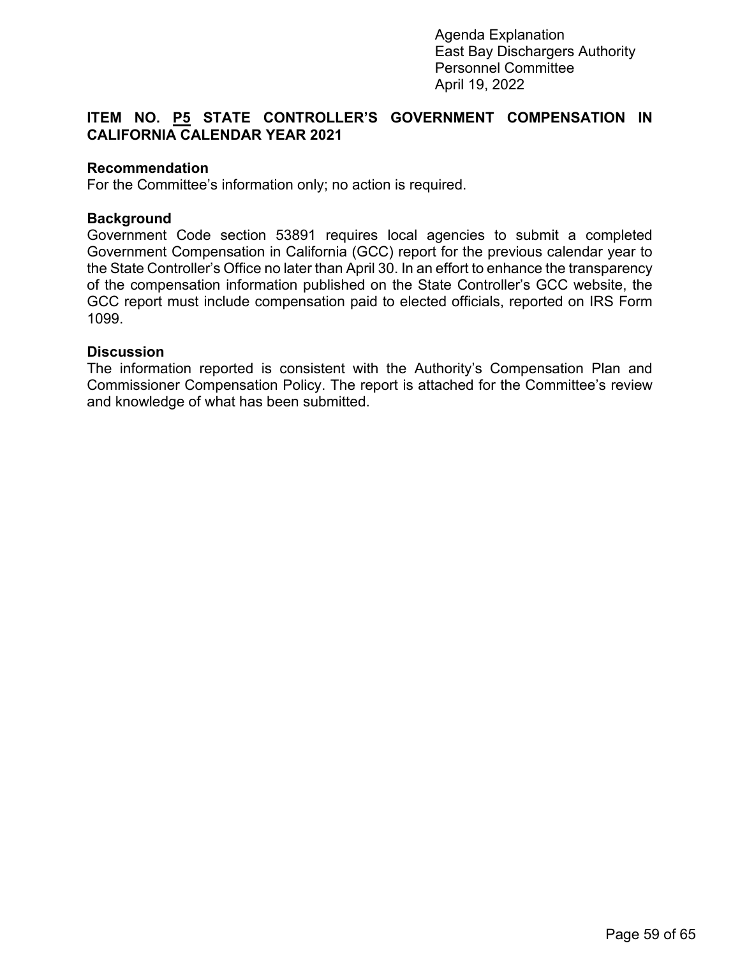# **ITEM NO. P5 STATE CONTROLLER'S GOVERNMENT COMPENSATION IN CALIFORNIA CALENDAR YEAR 2021**

### **Recommendation**

For the Committee's information only; no action is required.

#### **Background**

Government Code section 53891 requires local agencies to submit a completed Government Compensation in California (GCC) report for the previous calendar year to the State Controller's Office no later than April 30. In an effort to enhance the transparency of the compensation information published on the State Controller's GCC website, the GCC report must include compensation paid to elected officials, reported on IRS Form 1099.

#### **Discussion**

The information reported is consistent with the Authority's Compensation Plan and Commissioner Compensation Policy. The report is attached for the Committee's review and knowledge of what has been submitted.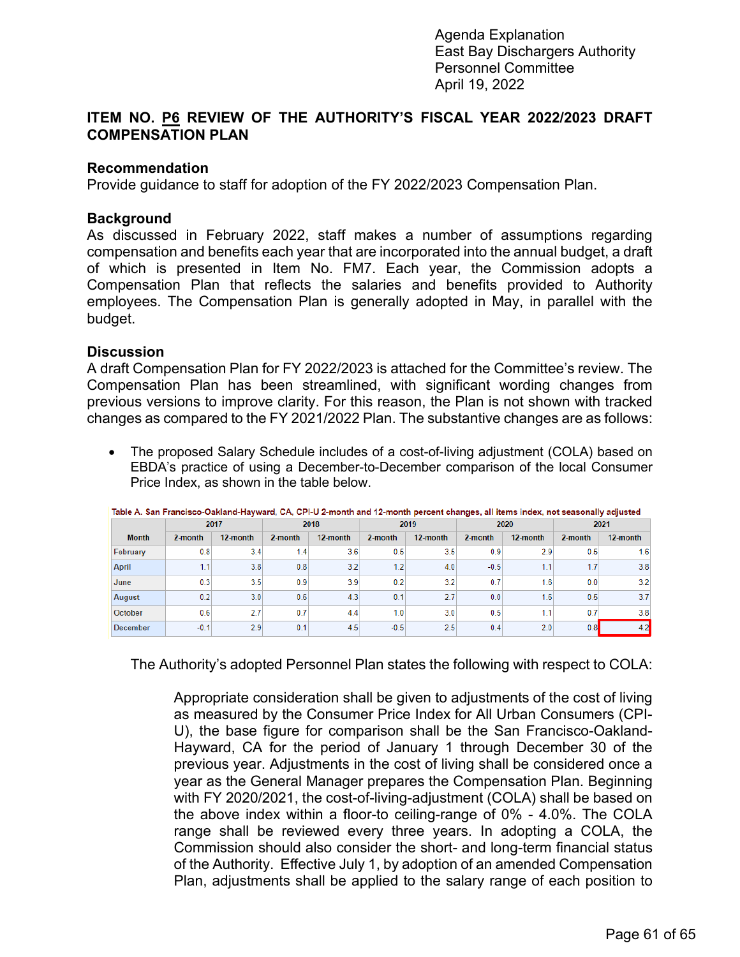## <span id="page-8-0"></span>**ITEM NO. P6 REVIEW OF THE AUTHORITY'S FISCAL YEAR 2022/2023 DRAFT COMPENSATION PLAN**

### **Recommendation**

Provide guidance to staff for adoption of the FY 2022/2023 Compensation Plan.

### **Background**

As discussed in February 2022, staff makes a number of assumptions regarding compensation and benefits each year that are incorporated into the annual budget, a draft of which is presented in Item No. FM7. Each year, the Commission adopts a Compensation Plan that reflects the salaries and benefits provided to Authority employees. The Compensation Plan is generally adopted in May, in parallel with the budget.

### **Discussion**

A draft Compensation Plan for FY 2022/2023 is attached for the Committee's review. The Compensation Plan has been streamlined, with significant wording changes from previous versions to improve clarity. For this reason, the Plan is not shown with tracked changes as compared to the FY 2021/2022 Plan. The substantive changes are as follows:

• The proposed Salary Schedule includes of a cost-of-living adjustment (COLA) based on EBDA's practice of using a December-to-December comparison of the local Consumer Price Index, as shown in the table below.

|                 | 2017    |          | 2018    |          | 2019    |          | 2020    |          | 2021    |          |
|-----------------|---------|----------|---------|----------|---------|----------|---------|----------|---------|----------|
| <b>Month</b>    | 2-month | 12-month | 2-month | 12-month | 2-month | 12-month | 2-month | 12-month | 2-month | 12-month |
| February        | 0.8     | 3.4      | 1.4     | 3.6      | 0.5     | 3.5      | 0.9     | 2.9      | 0.5     | 1.6      |
| <b>April</b>    | 1.1     | 3.8      | 0.8     | 3.2      | 1.2     | 4.0      | $-0.5$  | 1.1      | 1.7     | 3.8      |
| June            | 0.3     | 3.5      | 0.9     | 3.9      | 0.2     | 3.2      | 0.7     | 1.6      | 0.0     | 3.2      |
| <b>August</b>   | 0.2     | 3.0      | 0.6     | 4.3      | 0.1     | 2.7      | 0.0     | 1.6      | 0.5     | 3.7      |
| October         | 0.6     | 2.7      | 0.7     | 4.4      | 1.0     | 3.0      | 0.5     | 1.1      | 0.7     | 3.8      |
| <b>December</b> | $-0.1$  | 2.9      | 0.1     | 4.5      | $-0.5$  | 2.5      | 0.4     | 2.0      | 0.8     | 4.2      |

Table A. San Francisco-Oakland-Hayward, CA, CPI-U 2-month and 12-month percent changes, all items index, not seasonally adjusted

The Authority's adopted Personnel Plan states the following with respect to COLA:

Appropriate consideration shall be given to adjustments of the cost of living as measured by the Consumer Price Index for All Urban Consumers (CPI-U), the base figure for comparison shall be the San Francisco-Oakland-Hayward, CA for the period of January 1 through December 30 of the previous year. Adjustments in the cost of living shall be considered once a year as the General Manager prepares the Compensation Plan. Beginning with FY 2020/2021, the cost-of-living-adjustment (COLA) shall be based on the above index within a floor-to ceiling-range of 0% - 4.0%. The COLA range shall be reviewed every three years. In adopting a COLA, the Commission should also consider the short- and long-term financial status of the Authority. Effective July 1, by adoption of an amended Compensation Plan, adjustments shall be applied to the salary range of each position to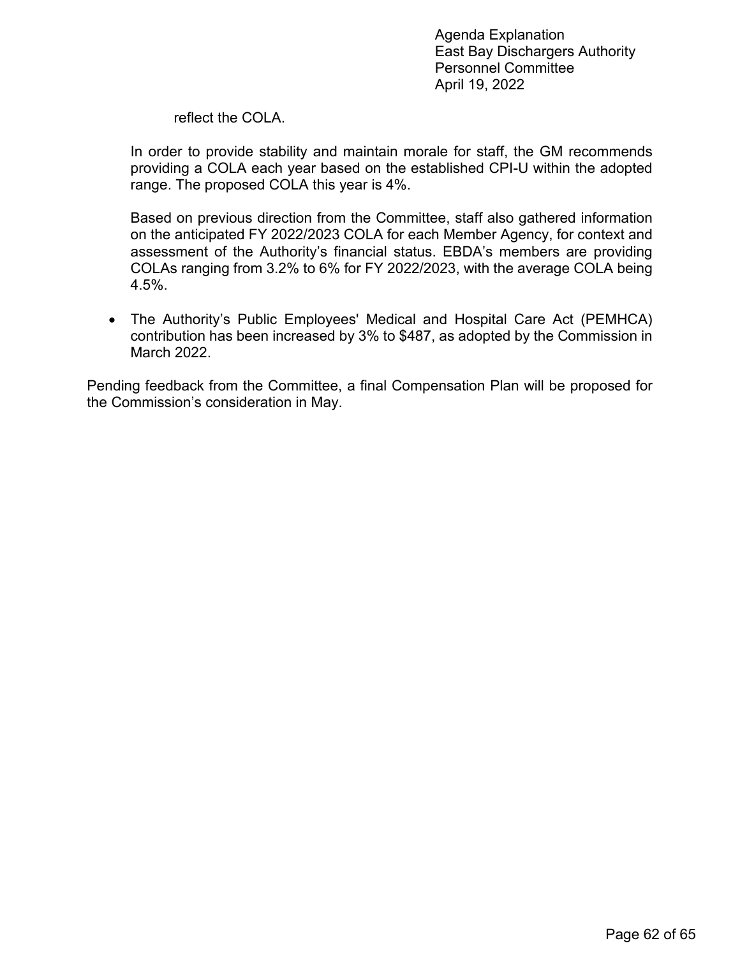NOTICE: In compliance with AB 361 (2021), the Personnel Committee meeting scheduled below will be accessible via Zoom video conferencing. Members of the public may participate in the meeting through the Zoom link or phone number below.

- Zoom link: https://us02web.zoom.us/j/89349170882
- Telephone dial-in: 1(669) 900-6833, meeting ID #893 4917 0882

# **ITEM NO. 13**

## PERSONNEL COMMITTEE AGENDA

Tuesday, April 19, 2022  $10:00$  a.m.

## **East Bay Dischargers Authority** 2651 Grant Avenue, San Lorenzo, CA 94580

Committee Members: Johnson ( Chair), Duncan

- **P1** Call to Order
- P<sub>2</sub> **Roll Call**
- P<sub>3</sub> **Public Forum**
- **P4.** General Manager Performance Plan for 2022/2023 (The Committee will provide input on the GM's Performance Plan.)
- P<sub>5</sub>. State Controller's Government Compensation in California Calendar Year 2021 (The Committee will review the report submitted to the State Controller's Office.)
- P<sub>6</sub>. Review of the Authority's Fiscal Year 2022/2023 Draft Compensation Plan (The Committee will review the draft FY 2022/2023 Compensation Plan.)
- P7. Adjournment

Any member of the public may address the Commission at the commencement of the meeting on any matter within the jurisdiction of the Commission. This should not relate to any item on the agenda. It is the policy of the Authority that each person addressing the Commission limit their presentation to three minutes. Non-English speakers using a translator will have a time limit of six minutes. Any member of the public desiring to provide comments to the Commission on an agenda item should do so at the time the item is considered. It is the policy of the Authority that oral comments be limited to three minutes per individual or ten minutes for an organization. Speaker's cards will be available in the Boardroom and are to be completed prior to speaking.

In compliance with the Americans with Disabilities Act of 1990, if you need special assistance to participate in an Authority meeting, or you need a copy of the agenda, or the agenda packet, in an appropriate